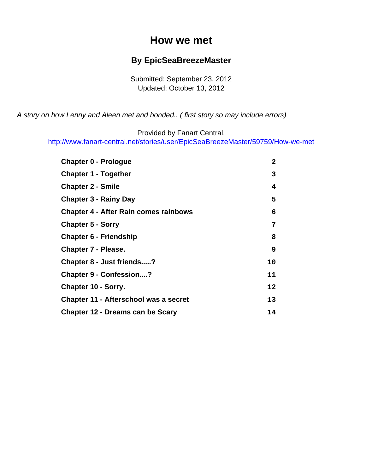### **How we met**

#### **By EpicSeaBreezeMaster**

Submitted: September 23, 2012 Updated: October 13, 2012

<span id="page-0-0"></span>A story on how Lenny and Aleen met and bonded.. ( first story so may include errors)

Provided by Fanart Central.

[http://www.fanart-central.net/stories/user/EpicSeaBreezeMaster/59759/How-we-met](#page-0-0)

| <b>Chapter 0 - Prologue</b>                  | $\mathbf{2}$ |
|----------------------------------------------|--------------|
| <b>Chapter 1 - Together</b>                  | 3            |
| <b>Chapter 2 - Smile</b>                     | 4            |
| <b>Chapter 3 - Rainy Day</b>                 | 5            |
| <b>Chapter 4 - After Rain comes rainbows</b> | 6            |
| <b>Chapter 5 - Sorry</b>                     | 7            |
| <b>Chapter 6 - Friendship</b>                | 8            |
| <b>Chapter 7 - Please.</b>                   | 9            |
| Chapter 8 - Just friends?                    | 10           |
| <b>Chapter 9 - Confession?</b>               | 11           |
| <b>Chapter 10 - Sorry.</b>                   | 12           |
| Chapter 11 - Afterschool was a secret        | 13           |
| Chapter 12 - Dreams can be Scary             | 14           |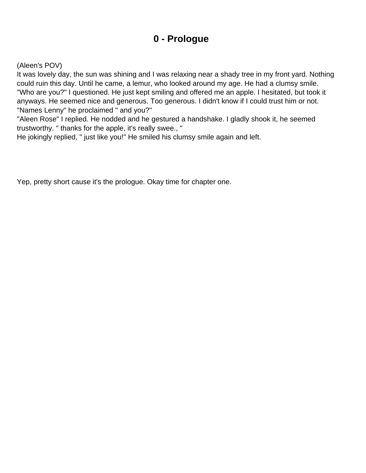## **0 - Prologue**

#### <span id="page-1-0"></span>(Aleen's POV)

It was lovely day, the sun was shining and I was relaxing near a shady tree in my front yard. Nothing could ruin this day. Until he came, a lemur, who looked around my age. He had a clumsy smile. "Who are you?" I questioned. He just kept smiling and offered me an apple. I hesitated, but took it anyways. He seemed nice and generous. Too generous. I didn't know if I could trust him or not. "Names Lenny" he proclaimed " and you?"

"Aleen Rose" I replied. He nodded and he gestured a handshake. I gladly shook it, he seemed trustworthy. " thanks for the apple, it's really swee., "

He jokingly replied, " just like you!" He smiled his clumsy smile again and left.

Yep, pretty short cause it's the prologue. Okay time for chapter one.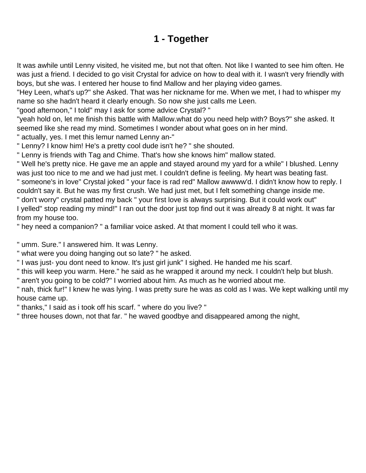# **1 - Together**

<span id="page-2-0"></span>It was awhile until Lenny visited, he visited me, but not that often. Not like I wanted to see him often. He was just a friend. I decided to go visit Crystal for advice on how to deal with it. I wasn't very friendly with boys, but she was. I entered her house to find Mallow and her playing video games.

"Hey Leen, what's up?" she Asked. That was her nickname for me. When we met, I had to whisper my name so she hadn't heard it clearly enough. So now she just calls me Leen.

"good afternoon," I told" may I ask for some advice Crystal? "

"yeah hold on, let me finish this battle with Mallow.what do you need help with? Boys?" she asked. It seemed like she read my mind. Sometimes I wonder about what goes on in her mind.

" actually, yes. I met this lemur named Lenny an-"

" Lenny? I know him! He's a pretty cool dude isn't he? " she shouted.

" Lenny is friends with Tag and Chime. That's how she knows him" mallow stated.

" Well he's pretty nice. He gave me an apple and stayed around my yard for a while" I blushed. Lenny was just too nice to me and we had just met. I couldn't define is feeling. My heart was beating fast. " someone's in love" Crystal joked " your face is rad red" Mallow awwww'd. I didn't know how to reply. I couldn't say it. But he was my first crush. We had just met, but I felt something change inside me.

" don't worry" crystal patted my back " your first love is always surprising. But it could work out" I yelled" stop reading my mind!" I ran out the door just top find out it was already 8 at night. It was far from my house too.

" hey need a companion? " a familiar voice asked. At that moment I could tell who it was.

" umm. Sure." I answered him. It was Lenny.

" what were you doing hanging out so late? " he asked.

" I was just- you dont need to know. It's just girl junk" I sighed. He handed me his scarf.

" this will keep you warm. Here." he said as he wrapped it around my neck. I couldn't help but blush.

" aren't you going to be cold?" I worried about him. As much as he worried about me.

" nah, thick fur!" I knew he was lying. I was pretty sure he was as cold as I was. We kept walking until my house came up.

" thanks," I said as i took off his scarf. " where do you live? "

" three houses down, not that far. " he waved goodbye and disappeared among the night,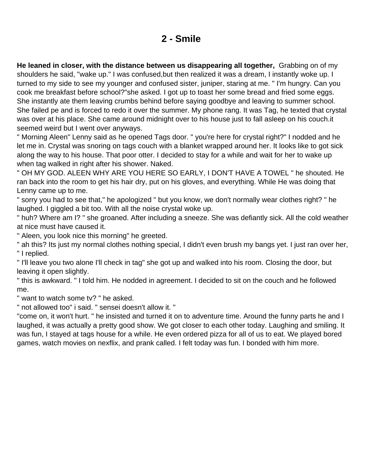### **2 - Smile**

<span id="page-3-0"></span>**He leaned in closer, with the distance between us disappearing all together,** Grabbing on of my shoulders he said, "wake up." I was confused,but then realized it was a dream, I instantly woke up. I turned to my side to see my younger and confused sister, juniper, staring at me. " I'm hungry. Can you cook me breakfast before school?"she asked. I got up to toast her some bread and fried some eggs. She instantly ate them leaving crumbs behind before saying goodbye and leaving to summer school. She failed pe and is forced to redo it over the summer. My phone rang. It was Tag, he texted that crystal was over at his place. She came around midnight over to his house just to fall asleep on his couch.it seemed weird but I went over anyways.

" Morning Aleen" Lenny said as he opened Tags door. " you're here for crystal right?" I nodded and he let me in. Crystal was snoring on tags couch with a blanket wrapped around her. It looks like to got sick along the way to his house. That poor otter. I decided to stay for a while and wait for her to wake up when tag walked in right after his shower. Naked.

" OH MY GOD. ALEEN WHY ARE YOU HERE SO EARLY, I DON'T HAVE A TOWEL " he shouted. He ran back into the room to get his hair dry, put on his gloves, and everything. While He was doing that Lenny came up to me.

" sorry you had to see that," he apologized " but you know, we don't normally wear clothes right? " he laughed. I giggled a bit too. With all the noise crystal woke up.

" huh? Where am I? " she groaned. After including a sneeze. She was defiantly sick. All the cold weather at nice must have caused it.

" Aleen, you look nice this morning" he greeted.

" ah this? Its just my normal clothes nothing special, I didn't even brush my bangs yet. I just ran over her, " I replied.

" I'll leave you two alone I'll check in tag" she got up and walked into his room. Closing the door, but leaving it open slightly.

" this is awkward. " I told him. He nodded in agreement. I decided to sit on the couch and he followed me.

" want to watch some tv? " he asked.

" not allowed too" i said. " sensei doesn't allow it. "

"come on, it won't hurt. " he insisted and turned it on to adventure time. Around the funny parts he and I laughed, it was actually a pretty good show. We got closer to each other today. Laughing and smiling. It was fun, I stayed at tags house for a while. He even ordered pizza for all of us to eat. We played bored games, watch movies on nexflix, and prank called. I felt today was fun. I bonded with him more.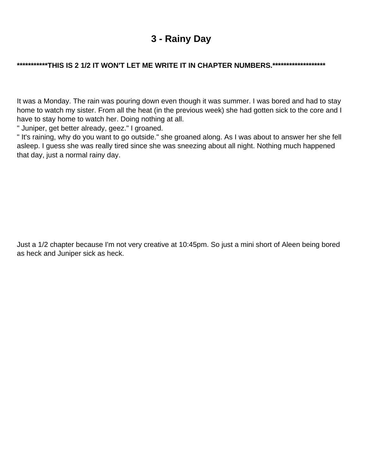## **3 - Rainy Day**

#### <span id="page-4-0"></span>**\*\*\*\*\*\*\*\*\*\*\*THIS IS 2 1/2 IT WON'T LET ME WRITE IT IN CHAPTER NUMBERS.\*\*\*\*\*\*\*\*\*\*\*\*\*\*\*\*\*\*\***

It was a Monday. The rain was pouring down even though it was summer. I was bored and had to stay home to watch my sister. From all the heat (in the previous week) she had gotten sick to the core and I have to stay home to watch her. Doing nothing at all.

" Juniper, get better already, geez." I groaned.

" It's raining, why do you want to go outside." she groaned along. As I was about to answer her she fell asleep. I guess she was really tired since she was sneezing about all night. Nothing much happened that day, just a normal rainy day.

Just a 1/2 chapter because I'm not very creative at 10:45pm. So just a mini short of Aleen being bored as heck and Juniper sick as heck.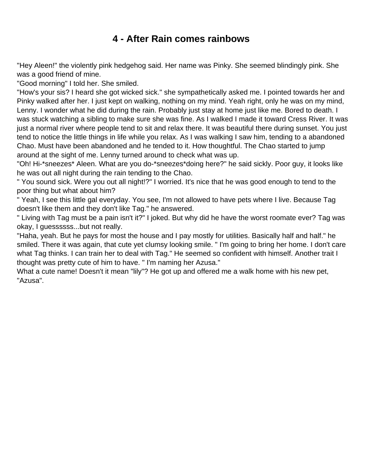## **4 - After Rain comes rainbows**

<span id="page-5-0"></span>"Hey Aleen!" the violently pink hedgehog said. Her name was Pinky. She seemed blindingly pink. She was a good friend of mine.

"Good morning" I told her. She smiled.

"How's your sis? I heard she got wicked sick." she sympathetically asked me. I pointed towards her and Pinky walked after her. I just kept on walking, nothing on my mind. Yeah right, only he was on my mind, Lenny. I wonder what he did during the rain. Probably just stay at home just like me. Bored to death. I was stuck watching a sibling to make sure she was fine. As I walked I made it toward Cress River. It was just a normal river where people tend to sit and relax there. It was beautiful there during sunset. You just tend to notice the little things in life while you relax. As I was walking I saw him, tending to a abandoned Chao. Must have been abandoned and he tended to it. How thoughtful. The Chao started to jump around at the sight of me. Lenny turned around to check what was up.

"Oh! Hi-\*sneezes\* Aleen. What are you do-\*sneezes\*doing here?" he said sickly. Poor guy, it looks like he was out all night during the rain tending to the Chao.

" You sound sick. Were you out all night!?" I worried. It's nice that he was good enough to tend to the poor thing but what about him?

" Yeah, I see this little gal everyday. You see, I'm not allowed to have pets where I live. Because Tag doesn't like them and they don't like Tag." he answered.

" Living with Tag must be a pain isn't it?" I joked. But why did he have the worst roomate ever? Tag was okay, I guessssss...but not really.

"Haha, yeah. But he pays for most the house and I pay mostly for utilities. Basically half and half." he smiled. There it was again, that cute yet clumsy looking smile. " I'm going to bring her home. I don't care what Tag thinks. I can train her to deal with Tag." He seemed so confident with himself. Another trait I thought was pretty cute of him to have. " I'm naming her Azusa."

What a cute name! Doesn't it mean "lily"? He got up and offered me a walk home with his new pet, "Azusa".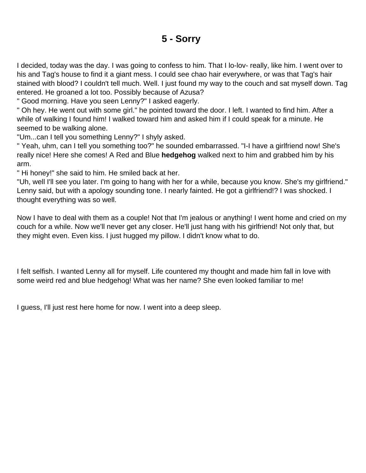## **5 - Sorry**

<span id="page-6-0"></span>I decided, today was the day. I was going to confess to him. That I lo-lov- really, like him. I went over to his and Tag's house to find it a giant mess. I could see chao hair everywhere, or was that Tag's hair stained with blood? I couldn't tell much. Well. I just found my way to the couch and sat myself down. Tag entered. He groaned a lot too. Possibly because of Azusa?

" Good morning. Have you seen Lenny?" I asked eagerly.

" Oh hey. He went out with some girl." he pointed toward the door. I left. I wanted to find him. After a while of walking I found him! I walked toward him and asked him if I could speak for a minute. He seemed to be walking alone.

"Um...can I tell you something Lenny?" I shyly asked.

" Yeah, uhm, can I tell you something too?" he sounded embarrassed. "I-I have a girlfriend now! She's really nice! Here she comes! A Red and Blue **hedgehog** walked next to him and grabbed him by his arm.

" Hi honey!" she said to him. He smiled back at her.

"Uh, well I'll see you later. I'm going to hang with her for a while, because you know. She's my girlfriend." Lenny said, but with a apology sounding tone. I nearly fainted. He got a girlfriend!? I was shocked. I thought everything was so well.

Now I have to deal with them as a couple! Not that I'm jealous or anything! I went home and cried on my couch for a while. Now we'll never get any closer. He'll just hang with his girlfriend! Not only that, but they might even. Even kiss. I just hugged my pillow. I didn't know what to do.

I felt selfish. I wanted Lenny all for myself. Life countered my thought and made him fall in love with some weird red and blue hedgehog! What was her name? She even looked familiar to me!

I guess, I'll just rest here home for now. I went into a deep sleep.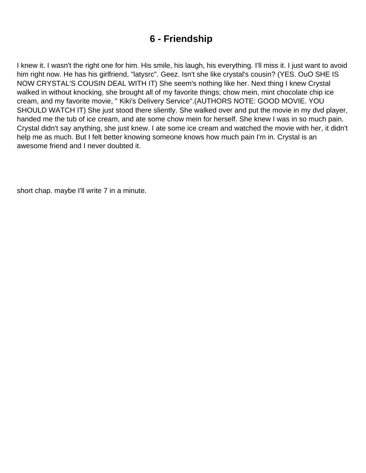## **6 - Friendship**

<span id="page-7-0"></span>I knew it. I wasn't the right one for him. His smile, his laugh, his everything. I'll miss it. I just want to avoid him right now. He has his girlfriend, "latysrc". Geez. Isn't she like crystal's cousin? (YES. OuO SHE IS NOW CRYSTAL'S COUSIN DEAL WITH IT) She seem's nothing like her. Next thing I knew Crystal walked in without knocking, she brought all of my favorite things; chow mein, mint chocolate chip ice cream, and my favorite movie, " Kiki's Delivery Service".(AUTHORS NOTE: GOOD MOVIE. YOU SHOULD WATCH IT) She just stood there sliently. She walked over and put the movie in my dvd player, handed me the tub of ice cream, and ate some chow mein for herself. She knew I was in so much pain. Crystal didn't say anything, she just knew. I ate some ice cream and watched the movie with her, it didn't help me as much. But I felt better knowing someone knows how much pain I'm in. Crystal is an awesome friend and I never doubted it.

short chap. maybe I'll write 7 in a minute.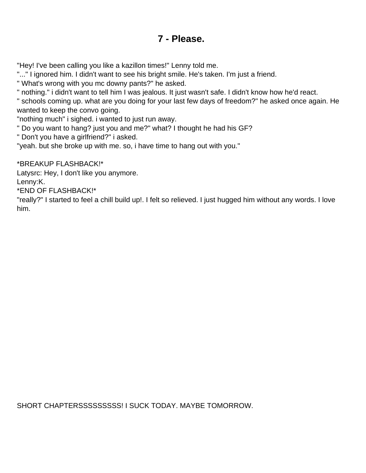### **7 - Please.**

<span id="page-8-0"></span>"Hey! I've been calling you like a kazillon times!" Lenny told me.

"..." I ignored him. I didn't want to see his bright smile. He's taken. I'm just a friend.

" What's wrong with you mc downy pants?" he asked.

" nothing." i didn't want to tell him I was jealous. It just wasn't safe. I didn't know how he'd react.

" schools coming up. what are you doing for your last few days of freedom?" he asked once again. He wanted to keep the convo going.

"nothing much" i sighed. i wanted to just run away.

" Do you want to hang? just you and me?" what? I thought he had his GF?

" Don't you have a girlfriend?" i asked.

"yeah. but she broke up with me. so, i have time to hang out with you."

\*BREAKUP FLASHBACK!\*

Latysrc: Hey, I don't like you anymore. Lenny:K.

\*END OF FLASHBACK!\*

"really?" I started to feel a chill build up!. I felt so relieved. I just hugged him without any words. I love him.

SHORT CHAPTERSSSSSSSSS! I SUCK TODAY. MAYBE TOMORROW.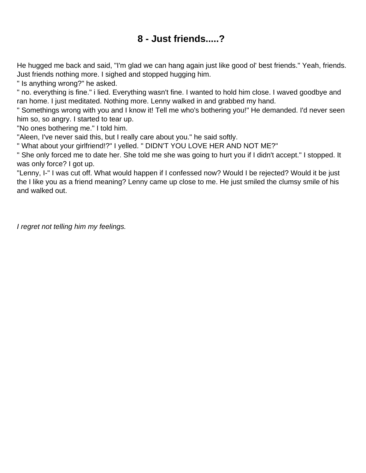## **8 - Just friends.....?**

<span id="page-9-0"></span>He hugged me back and said, "I'm glad we can hang again just like good ol' best friends." Yeah, friends. Just friends nothing more. I sighed and stopped hugging him.

" Is anything wrong?" he asked.

" no. everything is fine." i lied. Everything wasn't fine. I wanted to hold him close. I waved goodbye and ran home. I just meditated. Nothing more. Lenny walked in and grabbed my hand.

" Somethings wrong with you and I know it! Tell me who's bothering you!" He demanded. I'd never seen him so, so angry. I started to tear up.

"No ones bothering me." I told him.

"Aleen, I've never said this, but I really care about you." he said softly.

" What about your girlfriend!?" I yelled. " DIDN'T YOU LOVE HER AND NOT ME?"

" She only forced me to date her. She told me she was going to hurt you if I didn't accept." I stopped. It was only force? I got up.

"Lenny, I-" I was cut off. What would happen if I confessed now? Would I be rejected? Would it be just the I like you as a friend meaning? Lenny came up close to me. He just smiled the clumsy smile of his and walked out.

I regret not telling him my feelings.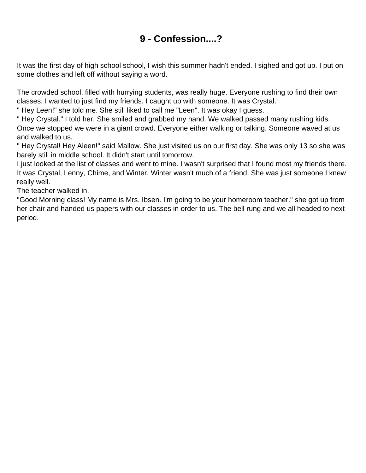# **9 - Confession....?**

<span id="page-10-0"></span>It was the first day of high school school, I wish this summer hadn't ended. I sighed and got up. I put on some clothes and left off without saying a word.

The crowded school, filled with hurrying students, was really huge. Everyone rushing to find their own classes. I wanted to just find my friends. I caught up with someone. It was Crystal.

" Hey Leen!" she told me. She still liked to call me "Leen". It was okay I guess.

" Hey Crystal." I told her. She smiled and grabbed my hand. We walked passed many rushing kids. Once we stopped we were in a giant crowd. Everyone either walking or talking. Someone waved at us and walked to us.

" Hey Crystal! Hey Aleen!" said Mallow. She just visited us on our first day. She was only 13 so she was barely still in middle school. It didn't start until tomorrow.

I just looked at the list of classes and went to mine. I wasn't surprised that I found most my friends there. It was Crystal, Lenny, Chime, and Winter. Winter wasn't much of a friend. She was just someone I knew really well.

The teacher walked in.

"Good Morning class! My name is Mrs. Ibsen. I'm going to be your homeroom teacher." she got up from her chair and handed us papers with our classes in order to us. The bell rung and we all headed to next period.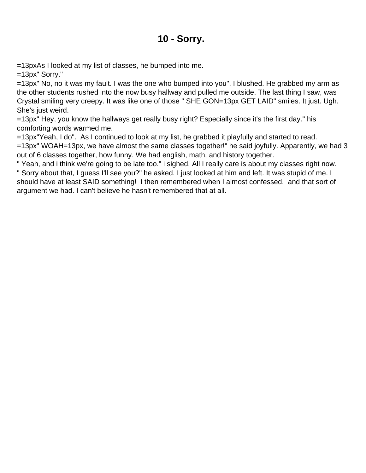#### **10 - Sorry.**

<span id="page-11-0"></span>=13pxAs I looked at my list of classes, he bumped into me.

=13px" Sorry."

=13px" No, no it was my fault. I was the one who bumped into you". I blushed. He grabbed my arm as the other students rushed into the now busy hallway and pulled me outside. The last thing I saw, was Crystal smiling very creepy. It was like one of those " SHE GON=13px GET LAID" smiles. It just. Ugh. She's just weird.

=13px" Hey, you know the hallways get really busy right? Especially since it's the first day." his comforting words warmed me.

=13px"Yeah, I do". As I continued to look at my list, he grabbed it playfully and started to read. =13px" WOAH=13px, we have almost the same classes together!" he said joyfully. Apparently, we had 3 out of 6 classes together, how funny. We had english, math, and history together.

" Yeah, and i think we're going to be late too." i sighed. All I really care is about my classes right now. " Sorry about that, I guess I'll see you?" he asked. I just looked at him and left. It was stupid of me. I should have at least SAID something! I then remembered when I almost confessed, and that sort of argument we had. I can't believe he hasn't remembered that at all.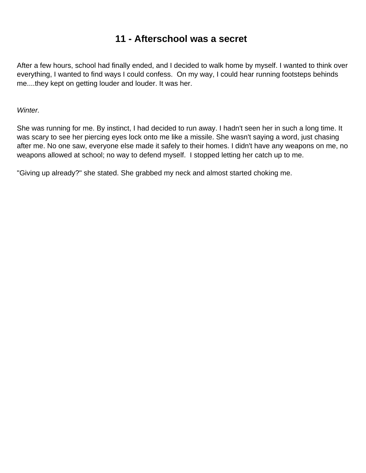### **11 - Afterschool was a secret**

<span id="page-12-0"></span>After a few hours, school had finally ended, and I decided to walk home by myself. I wanted to think over everything, I wanted to find ways I could confess. On my way, I could hear running footsteps behinds me....they kept on getting louder and louder. It was her.

Winter.

She was running for me. By instinct, I had decided to run away. I hadn't seen her in such a long time. It was scary to see her piercing eyes lock onto me like a missile. She wasn't saying a word, just chasing after me. No one saw, everyone else made it safely to their homes. I didn't have any weapons on me, no weapons allowed at school; no way to defend myself. I stopped letting her catch up to me.

"Giving up already?" she stated. She grabbed my neck and almost started choking me.